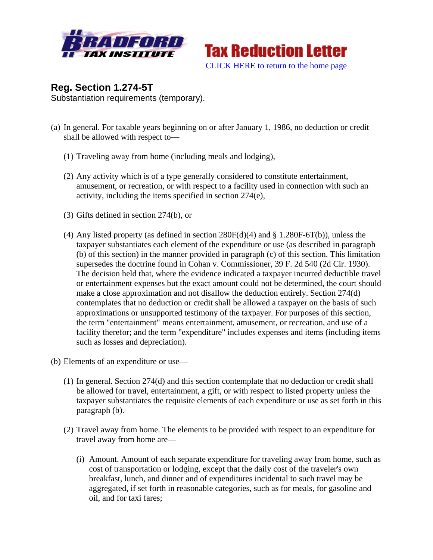



**Reg. Section 1.274-5T** Substantiation requirements (temporary).

- (a) In general. For taxable years beginning on or after January 1, 1986, no deduction or credit shall be allowed with respect to—
	- (1) Traveling away from home (including meals and lodging),
	- (2) Any activity which is of a type generally considered to constitute entertainment, amusement, or recreation, or with respect to a facility used in connection with such an activity, including the items specified in section 274(e),
	- (3) Gifts defined in section 274(b), or
	- (4) Any listed property (as defined in section  $280F(d)(4)$  and § 1.280F-6T(b)), unless the taxpayer substantiates each element of the expenditure or use (as described in paragraph (b) of this section) in the manner provided in paragraph (c) of this section. This limitation supersedes the doctrine found in Cohan v. Commissioner, 39 F. 2d 540 (2d Cir. 1930). The decision held that, where the evidence indicated a taxpayer incurred deductible travel or entertainment expenses but the exact amount could not be determined, the court should make a close approximation and not disallow the deduction entirely. Section 274(d) contemplates that no deduction or credit shall be allowed a taxpayer on the basis of such approximations or unsupported testimony of the taxpayer. For purposes of this section, the term "entertainment" means entertainment, amusement, or recreation, and use of a facility therefor; and the term "expenditure" includes expenses and items (including items such as losses and depreciation).
- (b) Elements of an expenditure or use—
	- (1) In general. Section 274(d) and this section contemplate that no deduction or credit shall be allowed for travel, entertainment, a gift, or with respect to listed property unless the taxpayer substantiates the requisite elements of each expenditure or use as set forth in this paragraph (b).
	- (2) Travel away from home. The elements to be provided with respect to an expenditure for travel away from home are—
		- (i) Amount. Amount of each separate expenditure for traveling away from home, such as cost of transportation or lodging, except that the daily cost of the traveler's own breakfast, lunch, and dinner and of expenditures incidental to such travel may be aggregated, if set forth in reasonable categories, such as for meals, for gasoline and oil, and for taxi fares;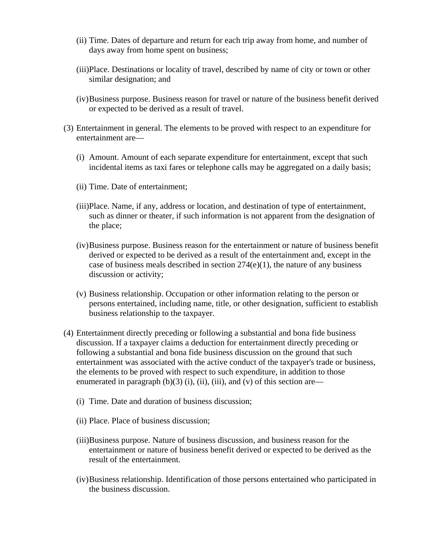- (ii) Time. Dates of departure and return for each trip away from home, and number of days away from home spent on business;
- (iii)Place. Destinations or locality of travel, described by name of city or town or other similar designation; and
- (iv)Business purpose. Business reason for travel or nature of the business benefit derived or expected to be derived as a result of travel.
- (3) Entertainment in general. The elements to be proved with respect to an expenditure for entertainment are—
	- (i) Amount. Amount of each separate expenditure for entertainment, except that such incidental items as taxi fares or telephone calls may be aggregated on a daily basis;
	- (ii) Time. Date of entertainment;
	- (iii)Place. Name, if any, address or location, and destination of type of entertainment, such as dinner or theater, if such information is not apparent from the designation of the place;
	- (iv)Business purpose. Business reason for the entertainment or nature of business benefit derived or expected to be derived as a result of the entertainment and, except in the case of business meals described in section  $274(e)(1)$ , the nature of any business discussion or activity;
	- (v) Business relationship. Occupation or other information relating to the person or persons entertained, including name, title, or other designation, sufficient to establish business relationship to the taxpayer.
- (4) Entertainment directly preceding or following a substantial and bona fide business discussion. If a taxpayer claims a deduction for entertainment directly preceding or following a substantial and bona fide business discussion on the ground that such entertainment was associated with the active conduct of the taxpayer's trade or business, the elements to be proved with respect to such expenditure, in addition to those enumerated in paragraph  $(b)(3)$  (i), (ii), (iii), and (v) of this section are—
	- (i) Time. Date and duration of business discussion;
	- (ii) Place. Place of business discussion;
	- (iii)Business purpose. Nature of business discussion, and business reason for the entertainment or nature of business benefit derived or expected to be derived as the result of the entertainment.
	- (iv)Business relationship. Identification of those persons entertained who participated in the business discussion.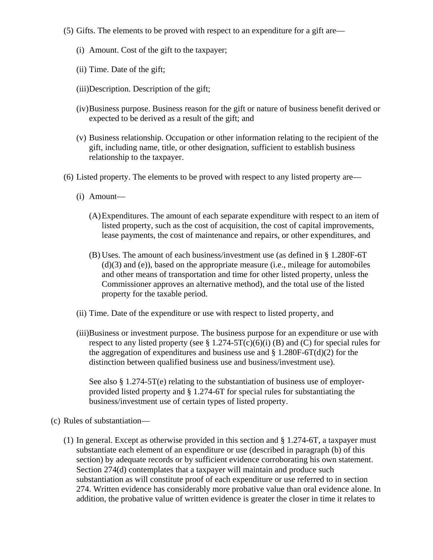- (5) Gifts. The elements to be proved with respect to an expenditure for a gift are—
	- (i) Amount. Cost of the gift to the taxpayer;
	- (ii) Time. Date of the gift;
	- (iii)Description. Description of the gift;
	- (iv)Business purpose. Business reason for the gift or nature of business benefit derived or expected to be derived as a result of the gift; and
	- (v) Business relationship. Occupation or other information relating to the recipient of the gift, including name, title, or other designation, sufficient to establish business relationship to the taxpayer.
- (6) Listed property. The elements to be proved with respect to any listed property are—
	- (i) Amount—
		- (A)Expenditures. The amount of each separate expenditure with respect to an item of listed property, such as the cost of acquisition, the cost of capital improvements, lease payments, the cost of maintenance and repairs, or other expenditures, and
		- (B) Uses. The amount of each business/investment use (as defined in § 1.280F-6T (d)(3) and (e)), based on the appropriate measure (i.e., mileage for automobiles and other means of transportation and time for other listed property, unless the Commissioner approves an alternative method), and the total use of the listed property for the taxable period.
	- (ii) Time. Date of the expenditure or use with respect to listed property, and
	- (iii)Business or investment purpose. The business purpose for an expenditure or use with respect to any listed property (see  $\S 1.274-5T(c)(6)(i)$  (B) and (C) for special rules for the aggregation of expenditures and business use and  $\S 1.280F-6T(d)(2)$  for the distinction between qualified business use and business/investment use).

See also § 1.274-5T(e) relating to the substantiation of business use of employerprovided listed property and § 1.274-6T for special rules for substantiating the business/investment use of certain types of listed property.

- (c) Rules of substantiation—
	- (1) In general. Except as otherwise provided in this section and § 1.274-6T, a taxpayer must substantiate each element of an expenditure or use (described in paragraph (b) of this section) by adequate records or by sufficient evidence corroborating his own statement. Section 274(d) contemplates that a taxpayer will maintain and produce such substantiation as will constitute proof of each expenditure or use referred to in section 274. Written evidence has considerably more probative value than oral evidence alone. In addition, the probative value of written evidence is greater the closer in time it relates to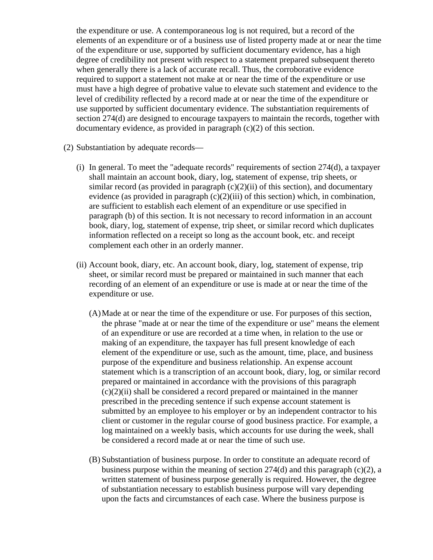the expenditure or use. A contemporaneous log is not required, but a record of the elements of an expenditure or of a business use of listed property made at or near the time of the expenditure or use, supported by sufficient documentary evidence, has a high degree of credibility not present with respect to a statement prepared subsequent thereto when generally there is a lack of accurate recall. Thus, the corroborative evidence required to support a statement not make at or near the time of the expenditure or use must have a high degree of probative value to elevate such statement and evidence to the level of credibility reflected by a record made at or near the time of the expenditure or use supported by sufficient documentary evidence. The substantiation requirements of section 274(d) are designed to encourage taxpayers to maintain the records, together with documentary evidence, as provided in paragraph (c)(2) of this section.

- (2) Substantiation by adequate records—
	- (i) In general. To meet the "adequate records" requirements of section 274(d), a taxpayer shall maintain an account book, diary, log, statement of expense, trip sheets, or similar record (as provided in paragraph  $(c)(2)(ii)$  of this section), and documentary evidence (as provided in paragraph  $(c)(2)(iii)$  of this section) which, in combination, are sufficient to establish each element of an expenditure or use specified in paragraph (b) of this section. It is not necessary to record information in an account book, diary, log, statement of expense, trip sheet, or similar record which duplicates information reflected on a receipt so long as the account book, etc. and receipt complement each other in an orderly manner.
	- (ii) Account book, diary, etc. An account book, diary, log, statement of expense, trip sheet, or similar record must be prepared or maintained in such manner that each recording of an element of an expenditure or use is made at or near the time of the expenditure or use.
		- (A)Made at or near the time of the expenditure or use. For purposes of this section, the phrase "made at or near the time of the expenditure or use" means the element of an expenditure or use are recorded at a time when, in relation to the use or making of an expenditure, the taxpayer has full present knowledge of each element of the expenditure or use, such as the amount, time, place, and business purpose of the expenditure and business relationship. An expense account statement which is a transcription of an account book, diary, log, or similar record prepared or maintained in accordance with the provisions of this paragraph  $(c)(2)(ii)$  shall be considered a record prepared or maintained in the manner prescribed in the preceding sentence if such expense account statement is submitted by an employee to his employer or by an independent contractor to his client or customer in the regular course of good business practice. For example, a log maintained on a weekly basis, which accounts for use during the week, shall be considered a record made at or near the time of such use.
		- (B) Substantiation of business purpose. In order to constitute an adequate record of business purpose within the meaning of section  $274(d)$  and this paragraph (c)(2), a written statement of business purpose generally is required. However, the degree of substantiation necessary to establish business purpose will vary depending upon the facts and circumstances of each case. Where the business purpose is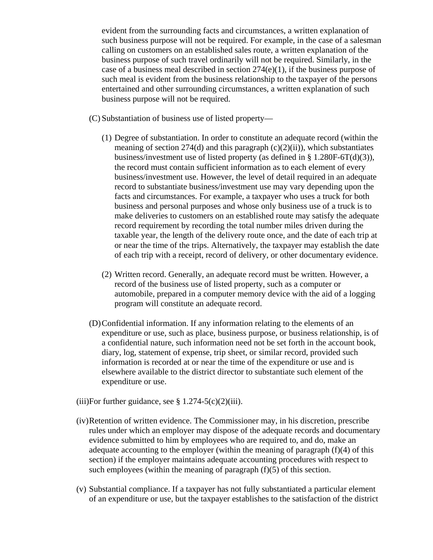evident from the surrounding facts and circumstances, a written explanation of such business purpose will not be required. For example, in the case of a salesman calling on customers on an established sales route, a written explanation of the business purpose of such travel ordinarily will not be required. Similarly, in the case of a business meal described in section  $274(e)(1)$ , if the business purpose of such meal is evident from the business relationship to the taxpayer of the persons entertained and other surrounding circumstances, a written explanation of such business purpose will not be required.

(C) Substantiation of business use of listed property—

- (1) Degree of substantiation. In order to constitute an adequate record (within the meaning of section  $274(d)$  and this paragraph  $(c)(2)(ii)$ , which substantiates business/investment use of listed property (as defined in § 1.280F-6T(d)(3)), the record must contain sufficient information as to each element of every business/investment use. However, the level of detail required in an adequate record to substantiate business/investment use may vary depending upon the facts and circumstances. For example, a taxpayer who uses a truck for both business and personal purposes and whose only business use of a truck is to make deliveries to customers on an established route may satisfy the adequate record requirement by recording the total number miles driven during the taxable year, the length of the delivery route once, and the date of each trip at or near the time of the trips. Alternatively, the taxpayer may establish the date of each trip with a receipt, record of delivery, or other documentary evidence.
- (2) Written record. Generally, an adequate record must be written. However, a record of the business use of listed property, such as a computer or automobile, prepared in a computer memory device with the aid of a logging program will constitute an adequate record.
- (D)Confidential information. If any information relating to the elements of an expenditure or use, such as place, business purpose, or business relationship, is of a confidential nature, such information need not be set forth in the account book, diary, log, statement of expense, trip sheet, or similar record, provided such information is recorded at or near the time of the expenditure or use and is elsewhere available to the district director to substantiate such element of the expenditure or use.
- (iii)For further guidance, see  $\S 1.274-5(c)(2)(iii)$ .
- (iv)Retention of written evidence. The Commissioner may, in his discretion, prescribe rules under which an employer may dispose of the adequate records and documentary evidence submitted to him by employees who are required to, and do, make an adequate accounting to the employer (within the meaning of paragraph (f)(4) of this section) if the employer maintains adequate accounting procedures with respect to such employees (within the meaning of paragraph  $(f)(5)$  of this section.
- (v) Substantial compliance. If a taxpayer has not fully substantiated a particular element of an expenditure or use, but the taxpayer establishes to the satisfaction of the district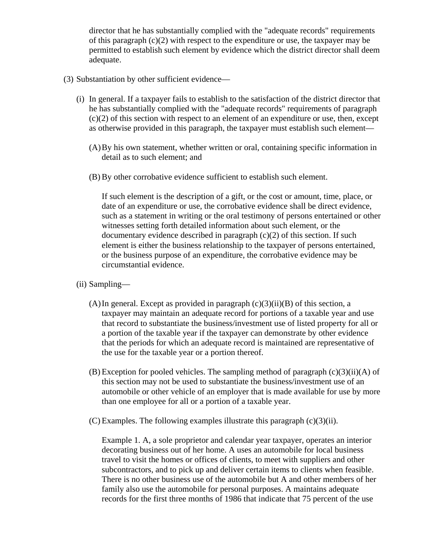director that he has substantially complied with the "adequate records" requirements of this paragraph  $(c)(2)$  with respect to the expenditure or use, the taxpayer may be permitted to establish such element by evidence which the district director shall deem adequate.

## (3) Substantiation by other sufficient evidence—

- (i) In general. If a taxpayer fails to establish to the satisfaction of the district director that he has substantially complied with the "adequate records" requirements of paragraph (c)(2) of this section with respect to an element of an expenditure or use, then, except as otherwise provided in this paragraph, the taxpayer must establish such element—
	- (A)By his own statement, whether written or oral, containing specific information in detail as to such element; and
	- (B) By other corrobative evidence sufficient to establish such element.

If such element is the description of a gift, or the cost or amount, time, place, or date of an expenditure or use, the corrobative evidence shall be direct evidence, such as a statement in writing or the oral testimony of persons entertained or other witnesses setting forth detailed information about such element, or the documentary evidence described in paragraph  $(c)(2)$  of this section. If such element is either the business relationship to the taxpayer of persons entertained, or the business purpose of an expenditure, the corrobative evidence may be circumstantial evidence.

- (ii) Sampling—
	- (A) In general. Except as provided in paragraph  $(c)(3)(ii)(B)$  of this section, a taxpayer may maintain an adequate record for portions of a taxable year and use that record to substantiate the business/investment use of listed property for all or a portion of the taxable year if the taxpayer can demonstrate by other evidence that the periods for which an adequate record is maintained are representative of the use for the taxable year or a portion thereof.
	- $(B)$  Exception for pooled vehicles. The sampling method of paragraph  $(c)(3)(ii)(A)$  of this section may not be used to substantiate the business/investment use of an automobile or other vehicle of an employer that is made available for use by more than one employee for all or a portion of a taxable year.
	- $(C)$  Examples. The following examples illustrate this paragraph  $(c)(3)(ii)$ .

Example 1. A, a sole proprietor and calendar year taxpayer, operates an interior decorating business out of her home. A uses an automobile for local business travel to visit the homes or offices of clients, to meet with suppliers and other subcontractors, and to pick up and deliver certain items to clients when feasible. There is no other business use of the automobile but A and other members of her family also use the automobile for personal purposes. A maintains adequate records for the first three months of 1986 that indicate that 75 percent of the use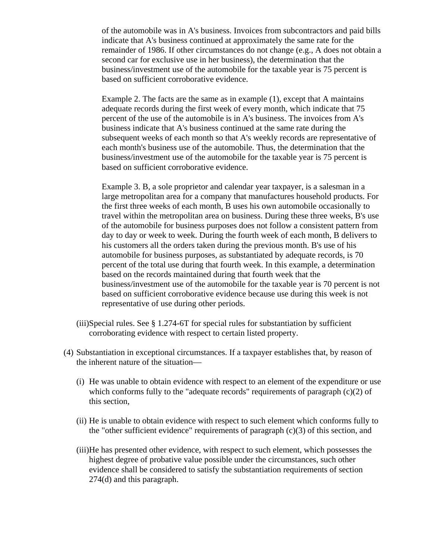of the automobile was in A's business. Invoices from subcontractors and paid bills indicate that A's business continued at approximately the same rate for the remainder of 1986. If other circumstances do not change (e.g., A does not obtain a second car for exclusive use in her business), the determination that the business/investment use of the automobile for the taxable year is 75 percent is based on sufficient corroborative evidence.

Example 2. The facts are the same as in example (1), except that A maintains adequate records during the first week of every month, which indicate that 75 percent of the use of the automobile is in A's business. The invoices from A's business indicate that A's business continued at the same rate during the subsequent weeks of each month so that A's weekly records are representative of each month's business use of the automobile. Thus, the determination that the business/investment use of the automobile for the taxable year is 75 percent is based on sufficient corroborative evidence.

Example 3. B, a sole proprietor and calendar year taxpayer, is a salesman in a large metropolitan area for a company that manufactures household products. For the first three weeks of each month, B uses his own automobile occasionally to travel within the metropolitan area on business. During these three weeks, B's use of the automobile for business purposes does not follow a consistent pattern from day to day or week to week. During the fourth week of each month, B delivers to his customers all the orders taken during the previous month. B's use of his automobile for business purposes, as substantiated by adequate records, is 70 percent of the total use during that fourth week. In this example, a determination based on the records maintained during that fourth week that the business/investment use of the automobile for the taxable year is 70 percent is not based on sufficient corroborative evidence because use during this week is not representative of use during other periods.

- (iii)Special rules. See § 1.274-6T for special rules for substantiation by sufficient corroborating evidence with respect to certain listed property.
- (4) Substantiation in exceptional circumstances. If a taxpayer establishes that, by reason of the inherent nature of the situation—
	- (i) He was unable to obtain evidence with respect to an element of the expenditure or use which conforms fully to the "adequate records" requirements of paragraph  $(c)(2)$  of this section,
	- (ii) He is unable to obtain evidence with respect to such element which conforms fully to the "other sufficient evidence" requirements of paragraph  $(c)(3)$  of this section, and
	- (iii)He has presented other evidence, with respect to such element, which possesses the highest degree of probative value possible under the circumstances, such other evidence shall be considered to satisfy the substantiation requirements of section 274(d) and this paragraph.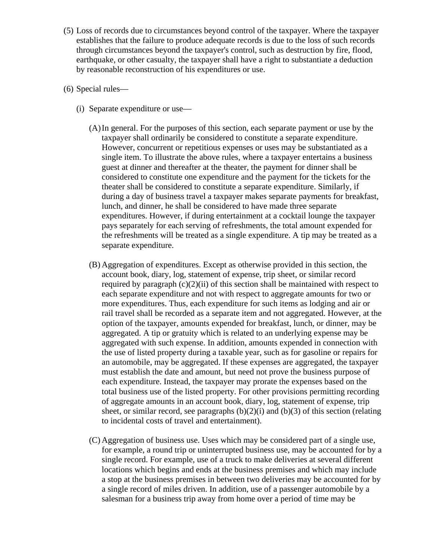- (5) Loss of records due to circumstances beyond control of the taxpayer. Where the taxpayer establishes that the failure to produce adequate records is due to the loss of such records through circumstances beyond the taxpayer's control, such as destruction by fire, flood, earthquake, or other casualty, the taxpayer shall have a right to substantiate a deduction by reasonable reconstruction of his expenditures or use.
- (6) Special rules—
	- (i) Separate expenditure or use—
		- (A)In general. For the purposes of this section, each separate payment or use by the taxpayer shall ordinarily be considered to constitute a separate expenditure. However, concurrent or repetitious expenses or uses may be substantiated as a single item. To illustrate the above rules, where a taxpayer entertains a business guest at dinner and thereafter at the theater, the payment for dinner shall be considered to constitute one expenditure and the payment for the tickets for the theater shall be considered to constitute a separate expenditure. Similarly, if during a day of business travel a taxpayer makes separate payments for breakfast, lunch, and dinner, he shall be considered to have made three separate expenditures. However, if during entertainment at a cocktail lounge the taxpayer pays separately for each serving of refreshments, the total amount expended for the refreshments will be treated as a single expenditure. A tip may be treated as a separate expenditure.
		- (B) Aggregation of expenditures. Except as otherwise provided in this section, the account book, diary, log, statement of expense, trip sheet, or similar record required by paragraph  $(c)(2)(ii)$  of this section shall be maintained with respect to each separate expenditure and not with respect to aggregate amounts for two or more expenditures. Thus, each expenditure for such items as lodging and air or rail travel shall be recorded as a separate item and not aggregated. However, at the option of the taxpayer, amounts expended for breakfast, lunch, or dinner, may be aggregated. A tip or gratuity which is related to an underlying expense may be aggregated with such expense. In addition, amounts expended in connection with the use of listed property during a taxable year, such as for gasoline or repairs for an automobile, may be aggregated. If these expenses are aggregated, the taxpayer must establish the date and amount, but need not prove the business purpose of each expenditure. Instead, the taxpayer may prorate the expenses based on the total business use of the listed property. For other provisions permitting recording of aggregate amounts in an account book, diary, log, statement of expense, trip sheet, or similar record, see paragraphs  $(b)(2)(i)$  and  $(b)(3)$  of this section (relating to incidental costs of travel and entertainment).
		- (C) Aggregation of business use. Uses which may be considered part of a single use, for example, a round trip or uninterrupted business use, may be accounted for by a single record. For example, use of a truck to make deliveries at several different locations which begins and ends at the business premises and which may include a stop at the business premises in between two deliveries may be accounted for by a single record of miles driven. In addition, use of a passenger automobile by a salesman for a business trip away from home over a period of time may be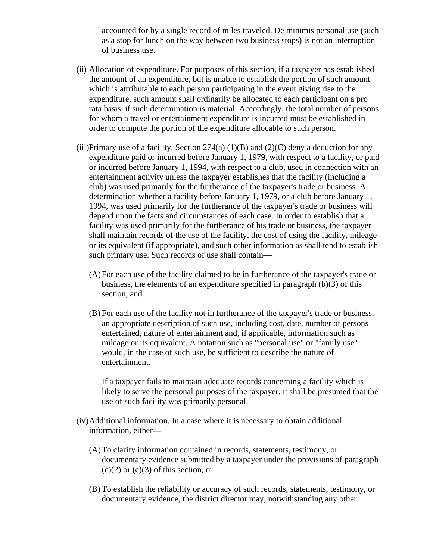accounted for by a single record of miles traveled. De minimis personal use (such as a stop for lunch on the way between two business stops) is not an interruption of business use.

- (ii) Allocation of expenditure. For purposes of this section, if a taxpayer has established the amount of an expenditure, but is unable to establish the portion of such amount which is attributable to each person participating in the event giving rise to the expenditure, such amount shall ordinarily be allocated to each participant on a pro rata basis, if such determination is material. Accordingly, the total number of persons for whom a travel or entertainment expenditure is incurred must be established in order to compute the portion of the expenditure allocable to such person.
- (iii)Primary use of a facility. Section  $274(a) (1)(B)$  and  $(2)(C)$  deny a deduction for any expenditure paid or incurred before January 1, 1979, with respect to a facility, or paid or incurred before January 1, 1994, with respect to a club, used in connection with an entertainment activity unless the taxpayer establishes that the facility (including a club) was used primarily for the furtherance of the taxpayer's trade or business. A determination whether a facility before January 1, 1979, or a club before January 1, 1994, was used primarily for the furtherance of the taxpayer's trade or business will depend upon the facts and circumstances of each case. In order to establish that a facility was used primarily for the furtherance of his trade or business, the taxpayer shall maintain records of the use of the facility, the cost of using the facility, mileage or its equivalent (if appropriate), and such other information as shall tend to establish such primary use. Such records of use shall contain—
	- (A)For each use of the facility claimed to be in furtherance of the taxpayer's trade or business, the elements of an expenditure specified in paragraph (b)(3) of this section, and
	- (B) For each use of the facility not in furtherance of the taxpayer's trade or business, an appropriate description of such use, including cost, date, number of persons entertained, nature of entertainment and, if applicable, information such as mileage or its equivalent. A notation such as "personal use" or "family use" would, in the case of such use, be sufficient to describe the nature of entertainment.

If a taxpayer fails to maintain adequate records concerning a facility which is likely to serve the personal purposes of the taxpayer, it shall be presumed that the use of such facility was primarily personal.

- (iv)Additional information. In a case where it is necessary to obtain additional information, either—
	- (A)To clarify information contained in records, statements, testimony, or documentary evidence submitted by a taxpayer under the provisions of paragraph  $(c)(2)$  or  $(c)(3)$  of this section, or
	- (B) To establish the reliability or accuracy of such records, statements, testimony, or documentary evidence, the district director may, notwithstanding any other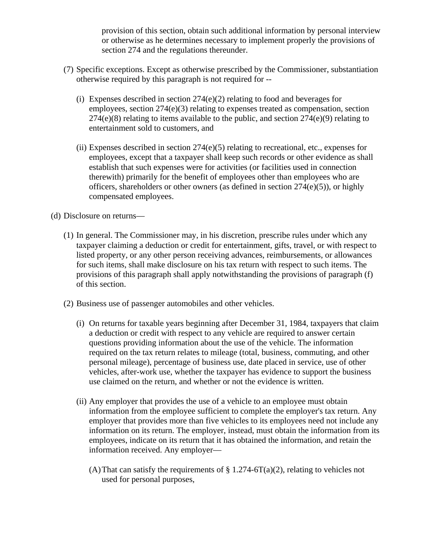provision of this section, obtain such additional information by personal interview or otherwise as he determines necessary to implement properly the provisions of section 274 and the regulations thereunder.

- (7) Specific exceptions. Except as otherwise prescribed by the Commissioner, substantiation otherwise required by this paragraph is not required for --
	- (i) Expenses described in section 274(e)(2) relating to food and beverages for employees, section 274(e)(3) relating to expenses treated as compensation, section  $274(e)(8)$  relating to items available to the public, and section  $274(e)(9)$  relating to entertainment sold to customers, and
	- (ii) Expenses described in section  $274(e)(5)$  relating to recreational, etc., expenses for employees, except that a taxpayer shall keep such records or other evidence as shall establish that such expenses were for activities (or facilities used in connection therewith) primarily for the benefit of employees other than employees who are officers, shareholders or other owners (as defined in section 274(e)(5)), or highly compensated employees.

## (d) Disclosure on returns—

- (1) In general. The Commissioner may, in his discretion, prescribe rules under which any taxpayer claiming a deduction or credit for entertainment, gifts, travel, or with respect to listed property, or any other person receiving advances, reimbursements, or allowances for such items, shall make disclosure on his tax return with respect to such items. The provisions of this paragraph shall apply notwithstanding the provisions of paragraph (f) of this section.
- (2) Business use of passenger automobiles and other vehicles.
	- (i) On returns for taxable years beginning after December 31, 1984, taxpayers that claim a deduction or credit with respect to any vehicle are required to answer certain questions providing information about the use of the vehicle. The information required on the tax return relates to mileage (total, business, commuting, and other personal mileage), percentage of business use, date placed in service, use of other vehicles, after-work use, whether the taxpayer has evidence to support the business use claimed on the return, and whether or not the evidence is written.
	- (ii) Any employer that provides the use of a vehicle to an employee must obtain information from the employee sufficient to complete the employer's tax return. Any employer that provides more than five vehicles to its employees need not include any information on its return. The employer, instead, must obtain the information from its employees, indicate on its return that it has obtained the information, and retain the information received. Any employer—
		- (A) That can satisfy the requirements of  $\S 1.274-6T(a)(2)$ , relating to vehicles not used for personal purposes,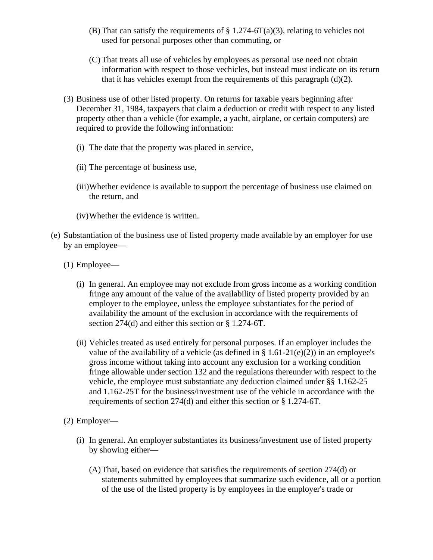- (B) That can satisfy the requirements of  $\S 1.274-6T(a)(3)$ , relating to vehicles not used for personal purposes other than commuting, or
- (C) That treats all use of vehicles by employees as personal use need not obtain information with respect to those vechicles, but instead must indicate on its return that it has vehicles exempt from the requirements of this paragraph  $(d)(2)$ .
- (3) Business use of other listed property. On returns for taxable years beginning after December 31, 1984, taxpayers that claim a deduction or credit with respect to any listed property other than a vehicle (for example, a yacht, airplane, or certain computers) are required to provide the following information:
	- (i) The date that the property was placed in service,
	- (ii) The percentage of business use,
	- (iii)Whether evidence is available to support the percentage of business use claimed on the return, and
	- (iv)Whether the evidence is written.
- (e) Substantiation of the business use of listed property made available by an employer for use by an employee—
	- (1) Employee—
		- (i) In general. An employee may not exclude from gross income as a working condition fringe any amount of the value of the availability of listed property provided by an employer to the employee, unless the employee substantiates for the period of availability the amount of the exclusion in accordance with the requirements of section 274(d) and either this section or § 1.274-6T.
		- (ii) Vehicles treated as used entirely for personal purposes. If an employer includes the value of the availability of a vehicle (as defined in  $\S$  1.61-21(e)(2)) in an employee's gross income without taking into account any exclusion for a working condition fringe allowable under section 132 and the regulations thereunder with respect to the vehicle, the employee must substantiate any deduction claimed under §§ 1.162-25 and 1.162-25T for the business/investment use of the vehicle in accordance with the requirements of section 274(d) and either this section or § 1.274-6T.
	- (2) Employer—
		- (i) In general. An employer substantiates its business/investment use of listed property by showing either—
			- (A)That, based on evidence that satisfies the requirements of section 274(d) or statements submitted by employees that summarize such evidence, all or a portion of the use of the listed property is by employees in the employer's trade or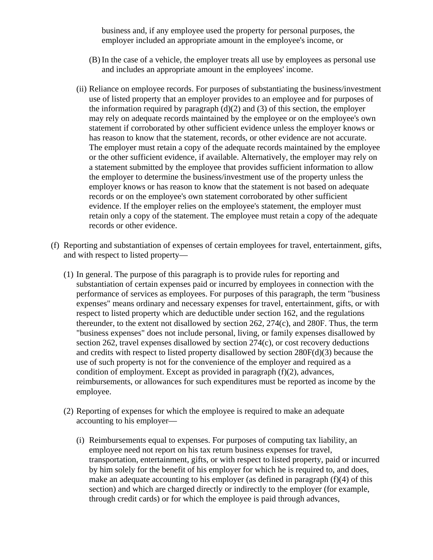business and, if any employee used the property for personal purposes, the employer included an appropriate amount in the employee's income, or

- (B) In the case of a vehicle, the employer treats all use by employees as personal use and includes an appropriate amount in the employees' income.
- (ii) Reliance on employee records. For purposes of substantiating the business/investment use of listed property that an employer provides to an employee and for purposes of the information required by paragraph  $(d)(2)$  and  $(3)$  of this section, the employer may rely on adequate records maintained by the employee or on the employee's own statement if corroborated by other sufficient evidence unless the employer knows or has reason to know that the statement, records, or other evidence are not accurate. The employer must retain a copy of the adequate records maintained by the employee or the other sufficient evidence, if available. Alternatively, the employer may rely on a statement submitted by the employee that provides sufficient information to allow the employer to determine the business/investment use of the property unless the employer knows or has reason to know that the statement is not based on adequate records or on the employee's own statement corroborated by other sufficient evidence. If the employer relies on the employee's statement, the employer must retain only a copy of the statement. The employee must retain a copy of the adequate records or other evidence.
- (f) Reporting and substantiation of expenses of certain employees for travel, entertainment, gifts, and with respect to listed property—
	- (1) In general. The purpose of this paragraph is to provide rules for reporting and substantiation of certain expenses paid or incurred by employees in connection with the performance of services as employees. For purposes of this paragraph, the term "business expenses" means ordinary and necessary expenses for travel, entertainment, gifts, or with respect to listed property which are deductible under section 162, and the regulations thereunder, to the extent not disallowed by section  $262$ ,  $274(c)$ , and  $280F$ . Thus, the term "business expenses" does not include personal, living, or family expenses disallowed by section 262, travel expenses disallowed by section 274(c), or cost recovery deductions and credits with respect to listed property disallowed by section 280F(d)(3) because the use of such property is not for the convenience of the employer and required as a condition of employment. Except as provided in paragraph (f)(2), advances, reimbursements, or allowances for such expenditures must be reported as income by the employee.
	- (2) Reporting of expenses for which the employee is required to make an adequate accounting to his employer—
		- (i) Reimbursements equal to expenses. For purposes of computing tax liability, an employee need not report on his tax return business expenses for travel, transportation, entertainment, gifts, or with respect to listed property, paid or incurred by him solely for the benefit of his employer for which he is required to, and does, make an adequate accounting to his employer (as defined in paragraph (f)(4) of this section) and which are charged directly or indirectly to the employer (for example, through credit cards) or for which the employee is paid through advances,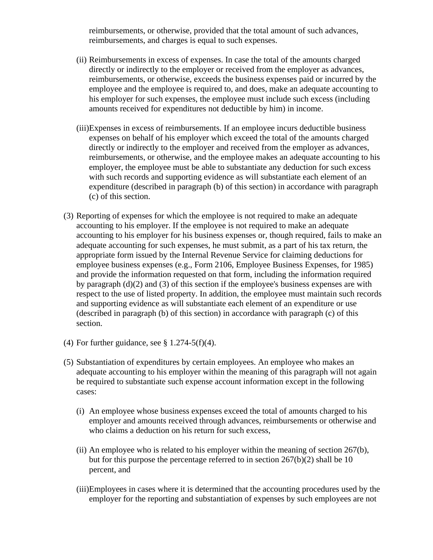reimbursements, or otherwise, provided that the total amount of such advances, reimbursements, and charges is equal to such expenses.

- (ii) Reimbursements in excess of expenses. In case the total of the amounts charged directly or indirectly to the employer or received from the employer as advances, reimbursements, or otherwise, exceeds the business expenses paid or incurred by the employee and the employee is required to, and does, make an adequate accounting to his employer for such expenses, the employee must include such excess (including amounts received for expenditures not deductible by him) in income.
- (iii)Expenses in excess of reimbursements. If an employee incurs deductible business expenses on behalf of his employer which exceed the total of the amounts charged directly or indirectly to the employer and received from the employer as advances, reimbursements, or otherwise, and the employee makes an adequate accounting to his employer, the employee must be able to substantiate any deduction for such excess with such records and supporting evidence as will substantiate each element of an expenditure (described in paragraph (b) of this section) in accordance with paragraph (c) of this section.
- (3) Reporting of expenses for which the employee is not required to make an adequate accounting to his employer. If the employee is not required to make an adequate accounting to his employer for his business expenses or, though required, fails to make an adequate accounting for such expenses, he must submit, as a part of his tax return, the appropriate form issued by the Internal Revenue Service for claiming deductions for employee business expenses (e.g., Form 2106, Employee Business Expenses, for 1985) and provide the information requested on that form, including the information required by paragraph (d)(2) and (3) of this section if the employee's business expenses are with respect to the use of listed property. In addition, the employee must maintain such records and supporting evidence as will substantiate each element of an expenditure or use (described in paragraph (b) of this section) in accordance with paragraph (c) of this section.
- (4) For further guidance, see  $\S 1.274-5(f)(4)$ .
- (5) Substantiation of expenditures by certain employees. An employee who makes an adequate accounting to his employer within the meaning of this paragraph will not again be required to substantiate such expense account information except in the following cases:
	- (i) An employee whose business expenses exceed the total of amounts charged to his employer and amounts received through advances, reimbursements or otherwise and who claims a deduction on his return for such excess,
	- (ii) An employee who is related to his employer within the meaning of section 267(b), but for this purpose the percentage referred to in section 267(b)(2) shall be 10 percent, and
	- (iii)Employees in cases where it is determined that the accounting procedures used by the employer for the reporting and substantiation of expenses by such employees are not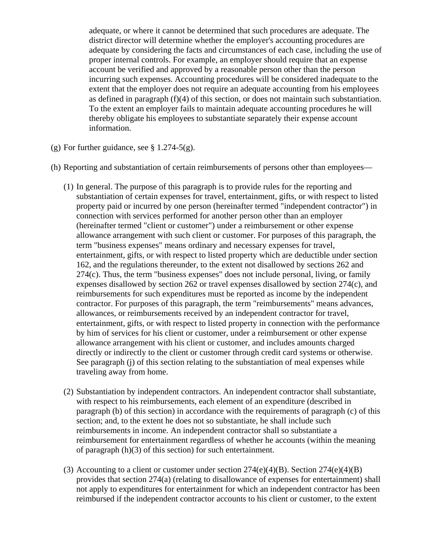adequate, or where it cannot be determined that such procedures are adequate. The district director will determine whether the employer's accounting procedures are adequate by considering the facts and circumstances of each case, including the use of proper internal controls. For example, an employer should require that an expense account be verified and approved by a reasonable person other than the person incurring such expenses. Accounting procedures will be considered inadequate to the extent that the employer does not require an adequate accounting from his employees as defined in paragraph (f)(4) of this section, or does not maintain such substantiation. To the extent an employer fails to maintain adequate accounting procedures he will thereby obligate his employees to substantiate separately their expense account information.

- (g) For further guidance, see  $\S 1.274-5(g)$ .
- (h) Reporting and substantiation of certain reimbursements of persons other than employees—
	- (1) In general. The purpose of this paragraph is to provide rules for the reporting and substantiation of certain expenses for travel, entertainment, gifts, or with respect to listed property paid or incurred by one person (hereinafter termed "independent contractor") in connection with services performed for another person other than an employer (hereinafter termed "client or customer") under a reimbursement or other expense allowance arrangement with such client or customer. For purposes of this paragraph, the term "business expenses" means ordinary and necessary expenses for travel, entertainment, gifts, or with respect to listed property which are deductible under section 162, and the regulations thereunder, to the extent not disallowed by sections 262 and 274(c). Thus, the term "business expenses" does not include personal, living, or family expenses disallowed by section 262 or travel expenses disallowed by section 274(c), and reimbursements for such expenditures must be reported as income by the independent contractor. For purposes of this paragraph, the term "reimbursements" means advances, allowances, or reimbursements received by an independent contractor for travel, entertainment, gifts, or with respect to listed property in connection with the performance by him of services for his client or customer, under a reimbursement or other expense allowance arrangement with his client or customer, and includes amounts charged directly or indirectly to the client or customer through credit card systems or otherwise. See paragraph (j) of this section relating to the substantiation of meal expenses while traveling away from home.
	- (2) Substantiation by independent contractors. An independent contractor shall substantiate, with respect to his reimbursements, each element of an expenditure (described in paragraph (b) of this section) in accordance with the requirements of paragraph (c) of this section; and, to the extent he does not so substantiate, he shall include such reimbursements in income. An independent contractor shall so substantiate a reimbursement for entertainment regardless of whether he accounts (within the meaning of paragraph (h)(3) of this section) for such entertainment.
	- (3) Accounting to a client or customer under section  $274(e)(4)(B)$ . Section  $274(e)(4)(B)$ provides that section 274(a) (relating to disallowance of expenses for entertainment) shall not apply to expenditures for entertainment for which an independent contractor has been reimbursed if the independent contractor accounts to his client or customer, to the extent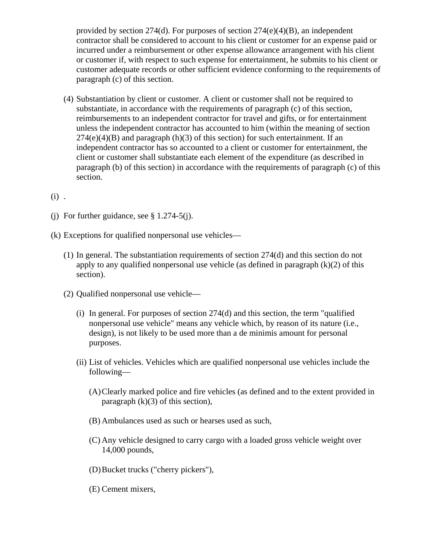provided by section 274(d). For purposes of section  $274(e)(4)(B)$ , an independent contractor shall be considered to account to his client or customer for an expense paid or incurred under a reimbursement or other expense allowance arrangement with his client or customer if, with respect to such expense for entertainment, he submits to his client or customer adequate records or other sufficient evidence conforming to the requirements of paragraph (c) of this section.

- (4) Substantiation by client or customer. A client or customer shall not be required to substantiate, in accordance with the requirements of paragraph (c) of this section, reimbursements to an independent contractor for travel and gifts, or for entertainment unless the independent contractor has accounted to him (within the meaning of section  $274(e)(4)(B)$  and paragraph (h)(3) of this section) for such entertainment. If an independent contractor has so accounted to a client or customer for entertainment, the client or customer shall substantiate each element of the expenditure (as described in paragraph (b) of this section) in accordance with the requirements of paragraph (c) of this section.
- (i) .
- (i) For further guidance, see  $§$  1.274-5(j).
- (k) Exceptions for qualified nonpersonal use vehicles—
	- (1) In general. The substantiation requirements of section 274(d) and this section do not apply to any qualified nonpersonal use vehicle (as defined in paragraph  $(k)(2)$  of this section).
	- (2) Qualified nonpersonal use vehicle—
		- (i) In general. For purposes of section 274(d) and this section, the term "qualified nonpersonal use vehicle" means any vehicle which, by reason of its nature (i.e., design), is not likely to be used more than a de minimis amount for personal purposes.
		- (ii) List of vehicles. Vehicles which are qualified nonpersonal use vehicles include the following—
			- (A)Clearly marked police and fire vehicles (as defined and to the extent provided in paragraph  $(k)(3)$  of this section).
			- (B) Ambulances used as such or hearses used as such,
			- (C) Any vehicle designed to carry cargo with a loaded gross vehicle weight over 14,000 pounds,
			- (D)Bucket trucks ("cherry pickers"),
			- (E) Cement mixers,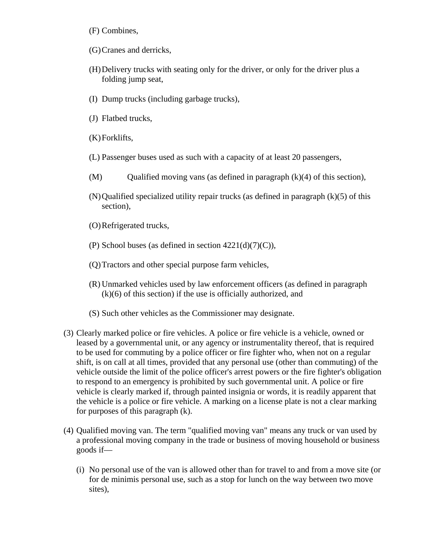- (F) Combines,
- (G)Cranes and derricks,
- (H)Delivery trucks with seating only for the driver, or only for the driver plus a folding jump seat,
- (I) Dump trucks (including garbage trucks),
- (J) Flatbed trucks,
- (K)Forklifts,
- (L) Passenger buses used as such with a capacity of at least 20 passengers,
- (M) Qualified moving vans (as defined in paragraph  $(k)(4)$  of this section),
- $(N)$ Qualified specialized utility repair trucks (as defined in paragraph  $(k)(5)$  of this section),
- (O)Refrigerated trucks,
- (P) School buses (as defined in section  $4221(d)(7)(C)$ ),
- (Q)Tractors and other special purpose farm vehicles,
- (R) Unmarked vehicles used by law enforcement officers (as defined in paragraph (k)(6) of this section) if the use is officially authorized, and
- (S) Such other vehicles as the Commissioner may designate.
- (3) Clearly marked police or fire vehicles. A police or fire vehicle is a vehicle, owned or leased by a governmental unit, or any agency or instrumentality thereof, that is required to be used for commuting by a police officer or fire fighter who, when not on a regular shift, is on call at all times, provided that any personal use (other than commuting) of the vehicle outside the limit of the police officer's arrest powers or the fire fighter's obligation to respond to an emergency is prohibited by such governmental unit. A police or fire vehicle is clearly marked if, through painted insignia or words, it is readily apparent that the vehicle is a police or fire vehicle. A marking on a license plate is not a clear marking for purposes of this paragraph (k).
- (4) Qualified moving van. The term "qualified moving van" means any truck or van used by a professional moving company in the trade or business of moving household or business goods if—
	- (i) No personal use of the van is allowed other than for travel to and from a move site (or for de minimis personal use, such as a stop for lunch on the way between two move sites),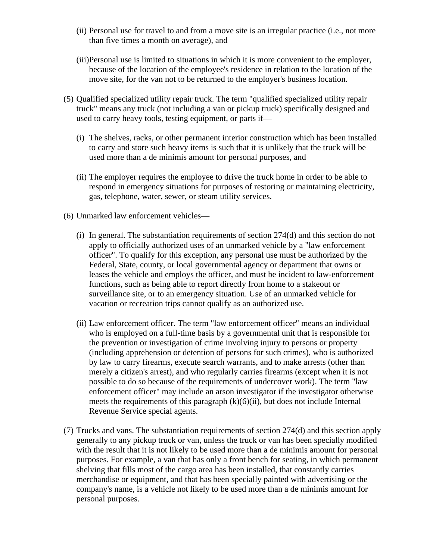- (ii) Personal use for travel to and from a move site is an irregular practice (i.e., not more than five times a month on average), and
- (iii)Personal use is limited to situations in which it is more convenient to the employer, because of the location of the employee's residence in relation to the location of the move site, for the van not to be returned to the employer's business location.
- (5) Qualified specialized utility repair truck. The term "qualified specialized utility repair truck" means any truck (not including a van or pickup truck) specifically designed and used to carry heavy tools, testing equipment, or parts if—
	- (i) The shelves, racks, or other permanent interior construction which has been installed to carry and store such heavy items is such that it is unlikely that the truck will be used more than a de minimis amount for personal purposes, and
	- (ii) The employer requires the employee to drive the truck home in order to be able to respond in emergency situations for purposes of restoring or maintaining electricity, gas, telephone, water, sewer, or steam utility services.
- (6) Unmarked law enforcement vehicles—
	- (i) In general. The substantiation requirements of section 274(d) and this section do not apply to officially authorized uses of an unmarked vehicle by a "law enforcement officer". To qualify for this exception, any personal use must be authorized by the Federal, State, county, or local governmental agency or department that owns or leases the vehicle and employs the officer, and must be incident to law-enforcement functions, such as being able to report directly from home to a stakeout or surveillance site, or to an emergency situation. Use of an unmarked vehicle for vacation or recreation trips cannot qualify as an authorized use.
	- (ii) Law enforcement officer. The term "law enforcement officer" means an individual who is employed on a full-time basis by a governmental unit that is responsible for the prevention or investigation of crime involving injury to persons or property (including apprehension or detention of persons for such crimes), who is authorized by law to carry firearms, execute search warrants, and to make arrests (other than merely a citizen's arrest), and who regularly carries firearms (except when it is not possible to do so because of the requirements of undercover work). The term "law enforcement officer" may include an arson investigator if the investigator otherwise meets the requirements of this paragraph  $(k)(6)(ii)$ , but does not include Internal Revenue Service special agents.
- (7) Trucks and vans. The substantiation requirements of section 274(d) and this section apply generally to any pickup truck or van, unless the truck or van has been specially modified with the result that it is not likely to be used more than a de minimis amount for personal purposes. For example, a van that has only a front bench for seating, in which permanent shelving that fills most of the cargo area has been installed, that constantly carries merchandise or equipment, and that has been specially painted with advertising or the company's name, is a vehicle not likely to be used more than a de minimis amount for personal purposes.